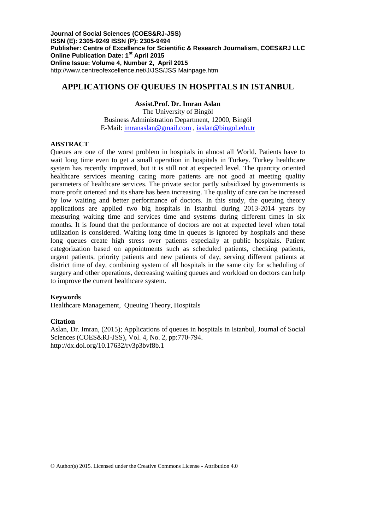**Journal of Social Sciences (COES&RJ-JSS) ISSN (E): 2305-9249 ISSN (P): 2305-9494 Publisher: Centre of Excellence for Scientific & Research Journalism, COES&RJ LLC Online Publication Date: 1st April 2015 Online Issue: Volume 4, Number 2, April 2015** <http://www.centreofexcellence.net/J/JSS/JSS> Mainpage.htm

## **APPLICATIONS OF QUEUES IN HOSPITALS IN ISTANBUL**

## **Assist.Prof. Dr. Imran Aslan**

The University of Bingöl Business Administration Department, 12000, Bingöl E-Mail: [imranaslan@gmail.com](mailto:imranaslan@gmail.com) , [iaslan@bingol.edu.tr](mailto:iaslan@bingol.edu.tr)

## **ABSTRACT**

Queues are one of the worst problem in hospitals in almost all World. Patients have to wait long time even to get a small operation in hospitals in Turkey. Turkey healthcare system has recently improved, but it is still not at expected level. The quantity oriented healthcare services meaning caring more patients are not good at meeting quality parameters of healthcare services. The private sector partly subsidized by governments is more profit oriented and its share has been increasing. The quality of care can be increased by low waiting and better performance of doctors. In this study, the queuing theory applications are applied two big hospitals in Istanbul during 2013-2014 years by measuring waiting time and services time and systems during different times in six months. It is found that the performance of doctors are not at expected level when total utilization is considered. Waiting long time in queues is ignored by hospitals and these long queues create high stress over patients especially at public hospitals. Patient categorization based on appointments such as scheduled patients, checking patients, urgent patients, priority patients and new patients of day, serving different patients at district time of day, combining system of all hospitals in the same city for scheduling of surgery and other operations, decreasing waiting queues and workload on doctors can help to improve the current healthcare system.

### **Keywords**

Healthcare Management, Queuing Theory, Hospitals

### **Citation**

Aslan, Dr. Imran, (2015); Applications of queues in hospitals in Istanbul, Journal of Social Sciences (COES&RJ-JSS), Vol. 4, No. 2, pp:770-794. http://dx.doi.org/10.17632/rv3p3bvf8b.1

© Author(s) 2015. Licensed under the Creative Commons License - Attribution 4.0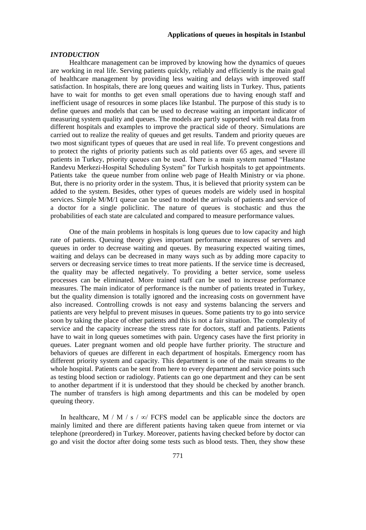#### *INTODUCTION*

 Healthcare management can be improved by knowing how the dynamics of queues are working in real life. Serving patients quickly, reliably and efficiently is the main goal of healthcare management by providing less waiting and delays with improved staff satisfaction. In hospitals, there are long queues and waiting lists in Turkey. Thus, patients have to wait for months to get even small operations due to having enough staff and inefficient usage of resources in some places like Istanbul. The purpose of this study is to define queues and models that can be used to decrease waiting an important indicator of measuring system quality and queues. The models are partly supported with real data from different hospitals and examples to improve the practical side of theory. Simulations are carried out to realize the reality of queues and get results. Tandem and priority queues are two most significant types of queues that are used in real life. To prevent congestions and to protect the rights of priority patients such as old patients over 65 ages, and severe ill patients in Turkey, priority queues can be used. There is a main system named "Hastane Randevu Merkezi-Hospital Scheduling System" for Turkish hospitals to get appointments. Patients take the queue number from online web page of Health Ministry or via phone. But, there is no priority order in the system. Thus, it is believed that priority system can be added to the system. Besides, other types of queues models are widely used in hospital services. Simple M/M/1 queue can be used to model the arrivals of patients and service of a doctor for a single policlinic. The nature of queues is stochastic and thus the probabilities of each state are calculated and compared to measure performance values.

 One of the main problems in hospitals is long queues due to low capacity and high rate of patients. Queuing theory gives important performance measures of servers and queues in order to decrease waiting and queues. By measuring expected waiting times, waiting and delays can be decreased in many ways such as by adding more capacity to servers or decreasing service times to treat more patients. If the service time is decreased, the quality may be affected negatively. To providing a better service, some useless processes can be eliminated. More trained staff can be used to increase performance measures. The main indicator of performance is the number of patients treated in Turkey, but the quality dimension is totally ignored and the increasing costs on government have also increased. Controlling crowds is not easy and systems balancing the servers and patients are very helpful to prevent misuses in queues. Some patients try to go into service soon by taking the place of other patients and this is not a fair situation. The complexity of service and the capacity increase the stress rate for doctors, staff and patients. Patients have to wait in long queues sometimes with pain. Urgency cases have the first priority in queues. Later pregnant women and old people have further priority. The structure and behaviors of queues are different in each department of hospitals. Emergency room has different priority system and capacity. This department is one of the main streams to the whole hospital. Patients can be sent from here to every department and service points such as testing blood section or radiology. Patients can go one department and they can be sent to another department if it is understood that they should be checked by another branch. The number of transfers is high among departments and this can be modeled by open queuing theory.

In healthcare, M / M / s /  $\infty$ / FCFS model can be applicable since the doctors are mainly limited and there are different patients having taken queue from internet or via telephone (preordered) in Turkey. Moreover, patients having checked before by doctor can go and visit the doctor after doing some tests such as blood tests. Then, they show these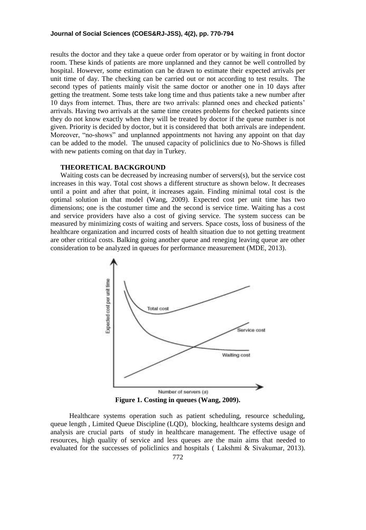results the doctor and they take a queue order from operator or by waiting in front doctor room. These kinds of patients are more unplanned and they cannot be well controlled by hospital. However, some estimation can be drawn to estimate their expected arrivals per unit time of day. The checking can be carried out or not according to test results. The second types of patients mainly visit the same doctor or another one in 10 days after getting the treatment. Some tests take long time and thus patients take a new number after 10 days from internet. Thus, there are two arrivals: planned ones and checked patients' arrivals. Having two arrivals at the same time creates problems for checked patients since they do not know exactly when they will be treated by doctor if the queue number is not given. Priority is decided by doctor, but it is considered that both arrivals are independent. Moreover, "no-shows" and unplanned appointments not having any appoint on that day can be added to the model. The unused capacity of policlinics due to No-Shows is filled with new patients coming on that day in Turkey.

### **THEORETICAL BACKGROUND**

Waiting costs can be decreased by increasing number of servers(s), but the service cost increases in this way. Total cost shows a different structure as shown below. It decreases until a point and after that point, it increases again. Finding minimal total cost is the optimal solution in that model (Wang, 2009). Expected cost per unit time has two dimensions; one is the costumer time and the second is service time. Waiting has a cost and service providers have also a cost of giving service. The system success can be measured by minimizing costs of waiting and servers. Space costs, loss of business of the healthcare organization and incurred costs of health situation due to not getting treatment are other critical costs. Balking going another queue and reneging leaving queue are other consideration to be analyzed in queues for performance measurement (MDE, 2013).



**Figure 1. Costing in queues (Wang, 2009).**

 Healthcare systems operation such as patient scheduling, resource scheduling, queue length , Limited Queue Discipline (LQD), blocking, healthcare systems design and analysis are crucial parts of study in healthcare management. The effective usage of resources, high quality of service and less queues are the main aims that needed to evaluated for the successes of policlinics and hospitals ( Lakshmi & Sivakumar, 2013).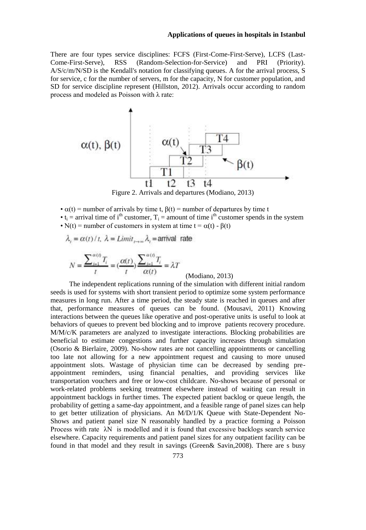There are four types service disciplines: FCFS (First-Come-First-Serve), LCFS (Last-Come-First-Serve), RSS (Random-Selection-for-Service) and PRI (Priority). A/S/c/m/N/SD is the Kendall's notation for classifying queues. A for the arrival process, S for service, c for the number of servers, m for the capacity, N for customer population, and SD for service discipline represent (Hillston, 2012). Arrivals occur according to random process and modeled as Poisson with λ rate:



Figure 2. Arrivals and departures (Modiano, 2013)

- $\alpha(t)$  = number of arrivals by time t,  $\beta(t)$  = number of departures by time t
- $t_i$  = arrival time of i<sup>th</sup> customer,  $T_i$  = amount of time i<sup>th</sup> customer spends in the system
- N(t) = number of customers in system at time  $t = \alpha(t) \beta(t)$

$$
\lambda_t = \alpha(t)/t
$$
,  $\lambda = Limit_{t\to\infty}\lambda_t =$ arrival rate

$$
N = \frac{\sum_{i=1}^{\alpha(t)} T_i}{t} = \left(\frac{\alpha(t)}{t}\right) \frac{\sum_{i=1}^{\alpha(t)} T_i}{\alpha(t)} = \lambda T
$$
\n(Modiano, 2013)

 The independent replications running of the simulation with different initial random seeds is used for systems with short transient period to optimize some system performance measures in long run. After a time period, the steady state is reached in queues and after that, performance measures of queues can be found. (Mousavi, 2011) Knowing interactions between the queues like operative and post-operative units is useful to look at behaviors of queues to prevent bed blocking and to improve patients recovery procedure. M/M/c/K parameters are analyzed to investigate interactions. Blocking probabilities are beneficial to estimate congestions and further capacity increases through simulation (Osorio & Bierlaire, 2009). No-show rates are not cancelling appointments or cancelling too late not allowing for a new appointment request and causing to more unused appointment slots. Wastage of physician time can be decreased by sending preappointment reminders, using financial penalties, and providing services like transportation vouchers and free or low-cost childcare. No-shows because of personal or work-related problems seeking treatment elsewhere instead of waiting can result in appointment backlogs in further times. The expected patient backlog or queue length, the probability of getting a same-day appointment, and a feasible range of panel sizes can help to get better utilization of physicians. An M/D/1/K Queue with State-Dependent No-Shows and patient panel size N reasonably handled by a practice forming a Poisson Process with rate λN is modelled and it is found that excessive backlogs search service elsewhere. Capacity requirements and patient panel sizes for any outpatient facility can be found in that model and they result in savings (Green& Savin,2008). There are s busy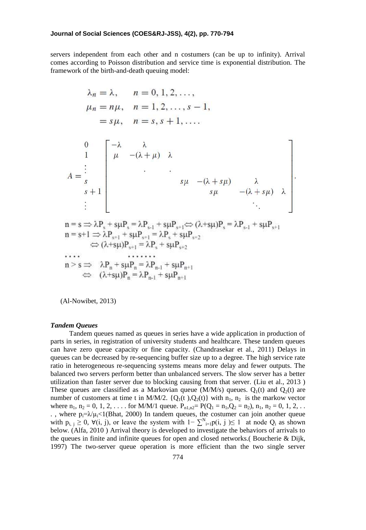servers independent from each other and n costumers (can be up to infinity). Arrival comes according to Poisson distribution and service time is exponential distribution. The framework of the birth-and-death queuing model:

$$
\lambda_n = \lambda, \quad n = 0, 1, 2, \dots, \n\mu_n = n\mu, \quad n = 1, 2, \dots, s - 1, \n= s\mu, \quad n = s, s + 1, \dots
$$
\n  
\n
$$
\begin{array}{c}\n0 \\
1 \\
\vdots \\
s_{s+1}\n\end{array}\n\begin{bmatrix}\n-\lambda & \lambda \\
\mu & -(\lambda + \mu) & \lambda \\
\vdots & \vdots \\
s\mu & -(\lambda + s\mu) & \lambda \\
\vdots & \vdots \\
s\mu & -(\lambda + s\mu) & \lambda \\
\vdots & \vdots \\
\vdots & \vdots\n\end{bmatrix}.
$$
\n  
\nn = s \Rightarrow \lambda P\_s + s\mu P\_s = \lambda P\_{s-1} + s\mu P\_{s+1} \Leftrightarrow (\lambda + s\mu) P\_s = \lambda P\_{s-1} + s\mu P\_{s+1}   
\nn = s+1 \Rightarrow \lambda P\_{s+1} + s\mu P\_{s+1} = \lambda P\_s + s\mu P\_{s+2}   
\n\Rightarrow (\lambda + s\mu) P\_{s+1} = \lambda P\_s + s\mu P\_{s+2}   
\n...   
\nn > s \Rightarrow \lambda P\_n + s\mu P\_n = \lambda P\_{n-1} + s\mu P\_{n+1}   
\n\Rightarrow (\lambda + s\mu) P\_n = \lambda P\_{n-1} + s\mu P\_{n+1}   
\n\end{array}

(Al-Nowibet, 2013)

#### *Tandem Queues*

 Tandem queues named as queues in series have a wide application in production of parts in series, in registration of university students and healthcare. These tandem queues can have zero queue capacity or fine capacity. (Chandrasekar et al., 2011) Delays in queues can be decreased by re-sequencing buffer size up to a degree. The high service rate ratio in heterogeneous re-sequencing systems means more delay and fewer outputs. The balanced two servers perform better than unbalanced servers. The slow server has a better utilization than faster server due to blocking causing from that server. (Liu et al., 2013 ) These queues are classified as a Markovian queue (M/M/s) queues.  $Q_1(t)$  and  $Q_2(t)$  are number of customers at time t in M/M/2.  ${Q_1(t), Q_2(t)}$  with  $n_1, n_2$  is the markow vector where  $n_1$ ,  $n_2 = 0, 1, 2, \ldots$  for M/M/1 queue.  $P_{n1,n2} = P(Q_1 = n_1, Q_2 = n_2)$ ,  $n_1$ ,  $n_2 = 0, 1, 2, \ldots$ ., where  $p_i = \lambda \mu_i$ <1(Bhat, 2000) In tandem queues, the costumer can join another queue with  $p_{i, j} \ge 0$ ,  $\forall (i, j)$ , or leave the system with  $1 - \sum_{i=1}^{N} p(i, j) \le 1$  at node  $Q_i$  as shown below. (Alfa, 2010 ) Arrival theory is developed to investigate the behaviors of arrivals to the queues in finite and infinite queues for open and closed networks.( Boucherie & Dijk, 1997) The two-server queue operation is more efficient than the two single server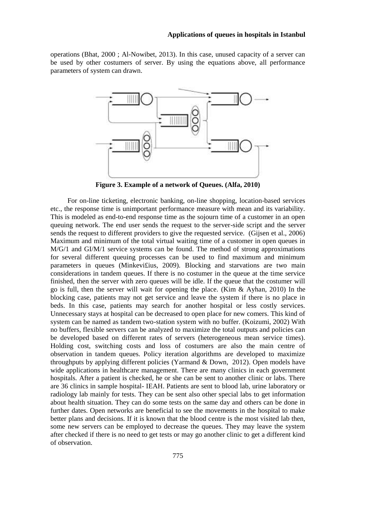operations (Bhat, 2000 ; Al-Nowibet, 2013). In this case, unused capacity of a server can be used by other costumers of server. By using the equations above, all performance parameters of system can drawn.



**Figure 3. Example of a network of Queues. (Alfa, 2010)**

 For on-line ticketing, electronic banking, on-line shopping, location-based services etc., the response time is unimportant performance measure with mean and its variability. This is modeled as end-to-end response time as the sojourn time of a customer in an open queuing network. The end user sends the request to the server-side script and the server sends the request to different providers to give the requested service. (Gijsen et al., 2006) Maximum and minimum of the total virtual waiting time of a customer in open queues in M/G/1 and GI/M/1 service systems can be found. The method of strong approximations for several different queuing processes can be used to find maximum and minimum parameters in queues (Minkevi£ius, 2009). Blocking and starvations are two main considerations in tandem queues. If there is no costumer in the queue at the time service finished, then the server with zero queues will be idle. If the queue that the costumer will go is full, then the server will wait for opening the place. (Kim & Ayhan, 2010) In the blocking case, patients may not get service and leave the system if there is no place in beds. In this case, patients may search for another hospital or less costly services. Unnecessary stays at hospital can be decreased to open place for new comers. This kind of system can be named as tandem two-station system with no buffer. (Koizumi, 2002) With no buffers, flexible servers can be analyzed to maximize the total outputs and policies can be developed based on different rates of servers (heterogeneous mean service times). Holding cost, switching costs and loss of costumers are also the main centre of observation in tandem queues. Policy iteration algorithms are developed to maximize throughputs by applying different policies (Yarmand & Down, 2012). Open models have wide applications in healthcare management. There are many clinics in each government hospitals. After a patient is checked, he or she can be sent to another clinic or labs. There are 36 clinics in sample hospital- IEAH. Patients are sent to blood lab, urine laboratory or radiology lab mainly for tests. They can be sent also other special labs to get information about health situation. They can do some tests on the same day and others can be done in further dates. Open networks are beneficial to see the movements in the hospital to make better plans and decisions. If it is known that the blood centre is the most visited lab then, some new servers can be employed to decrease the queues. They may leave the system after checked if there is no need to get tests or may go another clinic to get a different kind of observation.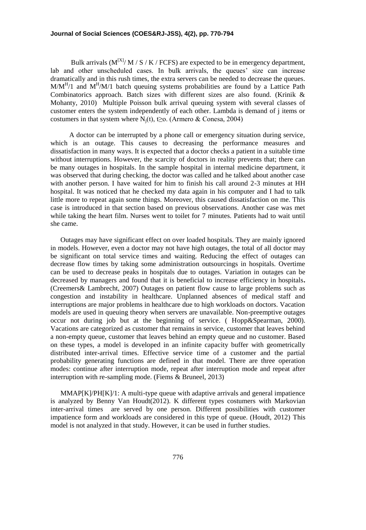Bulk arrivals  $(M^{[X]}/M / S / K / FCFS)$  are expected to be in emergency department, lab and other unscheduled cases. In bulk arrivals, the queues' size can increase dramatically and in this rush times, the extra servers can be needed to decrease the queues.  $M/M<sup>H</sup>/1$  and  $M<sup>H</sup>/M/1$  batch queuing systems probabilities are found by a Lattice Path Combinatorics approach. Batch sizes with different sizes are also found. (Krinik & Mohanty, 2010) Multiple Poisson bulk arrival queuing system with several classes of customer enters the system independently of each other. Lambda is demand of j items or costumers in that system where  $N_i(t)$ , t≥o. (Armero & Conesa, 2004)

 A doctor can be interrupted by a phone call or emergency situation during service, which is an outage. This causes to decreasing the performance measures and dissatisfaction in many ways. It is expected that a doctor checks a patient in a suitable time without interruptions. However, the scarcity of doctors in reality prevents that; there can be many outages in hospitals. In the sample hospital in internal medicine department, it was observed that during checking, the doctor was called and he talked about another case with another person. I have waited for him to finish his call around 2-3 minutes at HH hospital. It was noticed that he checked my data again in his computer and I had to talk little more to repeat again some things. Moreover, this caused dissatisfaction on me. This case is introduced in that section based on previous observations. Another case was met while taking the heart film. Nurses went to toilet for 7 minutes. Patients had to wait until she came.

Outages may have significant effect on over loaded hospitals. They are mainly ignored in models. However, even a doctor may not have high outages, the total of all doctor may be significant on total service times and waiting. Reducing the effect of outages can decrease flow times by taking some administration outsourcings in hospitals. Overtime can be used to decrease peaks in hospitals due to outages. Variation in outages can be decreased by managers and found that it is beneficial to increase efficiency in hospitals**.**  (Creemers& Lambrecht, 2007) Outages on patient flow cause to large problems such as congestion and instability in healthcare. Unplanned absences of medical staff and interruptions are major problems in healthcare due to high workloads on doctors. Vacation models are used in queuing theory when servers are unavailable. Non-preemptive outages occur not during job but at the beginning of service. ( Hopp&Spearman, 2000). Vacations are categorized as customer that remains in service, customer that leaves behind a non-empty queue, customer that leaves behind an empty queue and no customer. Based on these types, a model is developed in an infinite capacity buffer with geometrically distributed inter-arrival times. Effective service time of a customer and the partial probability generating functions are defined in that model. There are three operation modes: continue after interruption mode, repeat after interruption mode and repeat after interruption with re-sampling mode. (Fiems & Bruneel, 2013)

MMAP[K]/PH[K]/1: A multi-type queue with adaptive arrivals and general impatience is analyzed by Benny Van Houdt(2012). K different types costumers with Markovian inter-arrival times are served by one person. Different possibilities with customer impatience form and workloads are considered in this type of queue. (Houdt, 2012) This model is not analyzed in that study. However, it can be used in further studies.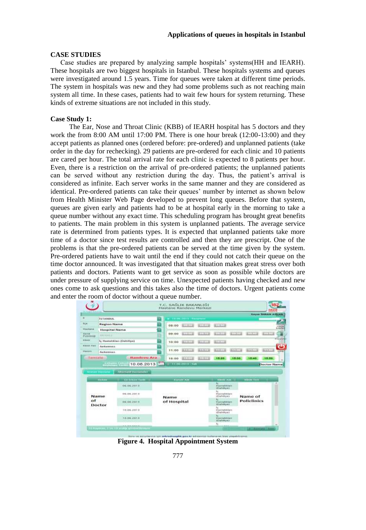### **CASE STUDIES**

Case studies are prepared by analyzing sample hospitals' systems(HH and IEARH). These hospitals are two biggest hospitals in Istanbul. These hospitals systems and queues were investigated around 1.5 years. Time for queues were taken at different time periods. The system in hospitals was new and they had some problems such as not reaching main system all time. In these cases, patients had to wait few hours for system returning. These kinds of extreme situations are not included in this study.

## **Case Study 1:**

 The Ear, Nose and Throat Clinic (KBB) of IEARH hospital has 5 doctors and they work the from 8:00 AM until 17:00 PM. There is one hour break (12:00-13:00) and they accept patients as planned ones (ordered before: pre-ordered) and unplanned patients (take order in the day for rechecking). 29 patients are pre-ordered for each clinic and 10 patients are cared per hour. The total arrival rate for each clinic is expected to 8 patients per hour. Even, there is a restriction on the arrival of pre-ordered patients; the unplanned patients can be served without any restriction during the day. Thus, the patient's arrival is considered as infinite. Each server works in the same manner and they are considered as identical. Pre-ordered patients can take their queues' number by internet as shown below from Health Minister Web Page developed to prevent long queues. Before that system, queues are given early and patients had to be at hospital early in the morning to take a queue number without any exact time. This scheduling program has brought great benefits to patients. The main problem in this system is unplanned patients. The average service rate is determined from patients types. It is expected that unplanned patients take more time of a doctor since test results are controlled and then they are prescript. One of the problems is that the pre-ordered patients can be served at the time given by the system. Pre-ordered patients have to wait until the end if they could not catch their queue on the time doctor announced. It was investigated that that situation makes great stress over both patients and doctors. Patients want to get service as soon as possible while doctors are under pressure of supplying service on time. Unexpected patients having checked and new ones come to ask questions and this takes also the time of doctors. Urgent patients come and enter the room of doctor without a queue number.

| $\mathbf{u}$                  | <b>ISTANISUE</b>                |                                                            |                          |                     | The rest train in the starters |                     |                                                           |                     |                                       | Saym Itinate astrace  |                          |
|-------------------------------|---------------------------------|------------------------------------------------------------|--------------------------|---------------------|--------------------------------|---------------------|-----------------------------------------------------------|---------------------|---------------------------------------|-----------------------|--------------------------|
| <b>BUW</b>                    | Region Name                     |                                                            |                          | 08:00               | $100 - 01$                     | <b>AUTORITY</b>     | <b>BULWIDE</b>                                            |                     |                                       |                       |                          |
| Hankaron                      | <b>Hospital Name</b>            |                                                            |                          |                     |                                |                     |                                                           |                     |                                       |                       | 118888                   |
| <b>Barret</b><br>Pinterweisbe | <b>AND RESIDENTATION</b>        |                                                            |                          | 09 00               | <b>ELECTION</b>                | <b>KULKUS</b>       | <b>SEULINE LETTER</b>                                     | <b>ALCOHOL: UNK</b> | <b>RUSSIA</b> COURSES                 |                       | Е<br><b>PERSONAL ARE</b> |
| <b>FOREFER</b>                |                                 | <b>In Hummithham (Datillye)</b>                            |                          | 10:00               | <b>ATTACHE</b>                 | <b>BELLET LES</b>   | <b>BETTERT</b>                                            |                     |                                       |                       |                          |
| Hillmark, Wallett<br>Hasim    | Jarketma e-<br>Jarkounne.       |                                                            |                          | 11:00               | <b><i>BERRICK</i></b>          | <b><i>BARTH</i></b> | 話を好くる                                                     | <b>ASSISTENT</b>    | <b><i><u><b>HANKELLIN</b></u></i></b> | <b><i>BARTHER</i></b> | Give                     |
|                               |                                 |                                                            |                          |                     |                                |                     |                                                           |                     |                                       |                       |                          |
| Tarryccatal                   | <b>All College</b>              | <b>Bandeva Ara</b><br>10.06.2013<br>m                      | <b>The Second Street</b> | 1500                | 新工ス工業<br>$-11.06.2013.54$      | <b>BELIEVE</b>      | 16:20                                                     | 15:50               | 10140                                 | 18/80<br>Doctor Name  |                          |
|                               | <b>Manan Hastana</b>            | Alternatif Hastenniar                                      |                          |                     |                                |                     |                                                           |                     |                                       |                       |                          |
|                               | <b>The Many</b>                 | <b>THE FINANC TAILS</b><br>06.06.2073<br><b>MARKATHOLD</b> |                          |                     | <b>Kurum Adi</b>               |                     | <b>Himme Acts</b><br><b>FEASTANNEMEN</b><br>VENAPolizent. |                     | <b>WEIGHT THEFT</b>                   |                       | ÷                        |
|                               | <b>HODGE-COLLECTION</b><br>Name | 04.06.2018<br>and with a contract of                       |                          |                     |                                |                     | <b>HastaNkins</b><br>(Elabetryw)                          |                     | 2007-009-5120<br>Name of              |                       |                          |
| $\Omega$                      |                                 | 06.06.2013                                                 |                          | Name<br>of Hospital |                                |                     | Hassalditan<br><b>IRIADIOVAL</b>                          |                     | <b>Policlinics</b>                    |                       |                          |
|                               | Doctor                          | 149,096,0193.0                                             |                          |                     |                                |                     | <b>Hastabachery</b><br>(Claimbye)                         |                     |                                       |                       |                          |

**Figure 4. Hospital Appointment System**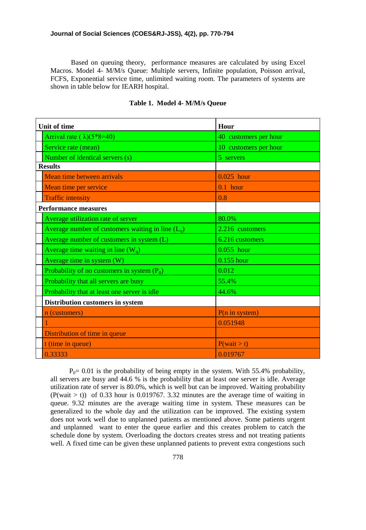Based on queuing theory, performance measures are calculated by using Excel Macros. Model 4- M/M/s Queue: Multiple servers, Infinite population, Poisson arrival, FCFS, Exponential service time, unlimited waiting room. The parameters of systems are shown in table below for IEARH hospital.

| <b>Unit of time</b>                                 | Hour                     |
|-----------------------------------------------------|--------------------------|
| Arrival rate $(\lambda)(5*8=40)$                    | 40 customers per hour    |
| Service rate (mean)                                 | 10 customers per hour    |
| Number of identical servers (s)                     | 5 servers                |
| <b>Results</b>                                      |                          |
| Mean time between arrivals                          | $0.025$ hour             |
| Mean time per service                               | $0.1$ hour               |
| <b>Traffic intensity</b>                            | 0.8                      |
| <b>Performance measures</b>                         |                          |
| Average utilization rate of server                  | 80.0%                    |
| Average number of customers waiting in line $(L_q)$ | 2.216 customers          |
| Average number of customers in system (L)           | 6.216 customers          |
| Average time waiting in line $(W_q)$                | $0.055$ hour             |
| Average time in system (W)                          | $0.155$ hour             |
| Probability of no customers in system $(P_0)$       | 0.012                    |
| Probability that all servers are busy               | 55.4%                    |
| Probability that at least one server is idle        | 44.6%                    |
| Distribution customers in system                    |                          |
| n (customers)                                       | $P(n \text{ in system})$ |
|                                                     | 0.051948                 |
| Distribution of time in queue                       |                          |
| t (time in queue)                                   | P(wait > t)              |
| 0.33333                                             | 0.019767                 |

## **Table 1. Model 4- M/M/s Queue**

 $P_0$ = 0.01 is the probability of being empty in the system. With 55.4% probability, all servers are busy and 44.6 % is the probability that at least one server is idle. Average utilization rate of server is 80.0%, which is well but can be improved. Waiting probability  $(P(wait > t))$  of 0.33 hour is 0.019767. 3.32 minutes are the average time of waiting in queue. 9.32 minutes are the average waiting time in system. These measures can be generalized to the whole day and the utilization can be improved. The existing system does not work well due to unplanned patients as mentioned above. Some patients urgent and unplanned want to enter the queue earlier and this creates problem to catch the schedule done by system. Overloading the doctors creates stress and not treating patients well. A fixed time can be given these unplanned patients to prevent extra congestions such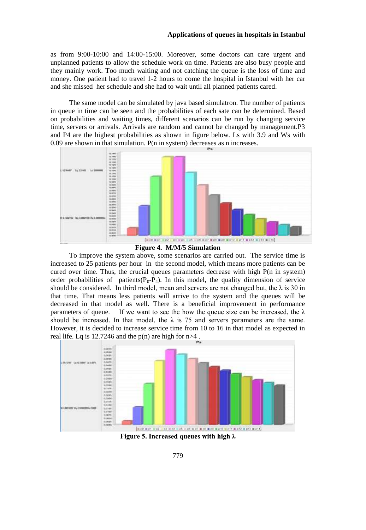as from 9:00-10:00 and 14:00-15:00. Moreover, some doctors can care urgent and unplanned patients to allow the schedule work on time. Patients are also busy people and they mainly work. Too much waiting and not catching the queue is the loss of time and money. One patient had to travel 1-2 hours to come the hospital in Istanbul with her car and she missed her schedule and she had to wait until all planned patients cared.

 The same model can be simulated by java based simulatron. The number of patients in queue in time can be seen and the probabilities of each sate can be determined. Based on probabilities and waiting times, different scenarios can be run by changing service time, servers or arrivals. Arrivals are random and cannot be changed by management.P3 and P4 are the highest probabilities as shown in figure below. Ls with 3.9 and Ws with 0.09 are shown in that simulation. P(n in system) decreases as n increases.





 To improve the system above, some scenarios are carried out. The service time is increased to 25 patients per hour in the second model, which means more patients can be cured over time. Thus, the crucial queues parameters decrease with high  $P(n \text{ in system})$ order probabilities of patients( $P_0-P_4$ ). In this model, the quality dimension of service should be considered. In third model, mean and servers are not changed but, the  $\lambda$  is 30 in that time. That means less patients will arrive to the system and the queues will be decreased in that model as well. There is a beneficial improvement in performance parameters of queue. If we want to see the how the queue size can be increased, the  $\lambda$ should be increased. In that model, the  $\lambda$  is 75 and servers parameters are the same. However, it is decided to increase service time from 10 to 16 in that model as expected in real life. Lq is  $12.7246$  and the p(n) are high for  $n>4$ .



**Figure 5. Increased queues with high λ**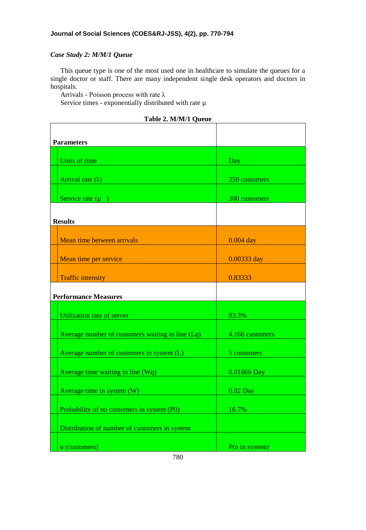## *Case Study 2: M/M/1 Queue*

This queue type is one of the most used one in healthcare to simulate the queues for a single doctor or staff. There are many independent single desk operators and doctors in hospitals.

Arrivals - Poisson process with rate λ

Service times - exponentially distributed with rate  $\mu$ 

|  |  | Table 2. M/M/1 Queue |  |
|--|--|----------------------|--|
|--|--|----------------------|--|

| <b>Parameters</b>                                |                 |
|--------------------------------------------------|-----------------|
| Units of time                                    |                 |
|                                                  | Day             |
| Arrival rate $(\lambda)$                         | 250 customers   |
|                                                  |                 |
| Service rate $(\mu)$                             | 300 customers   |
|                                                  |                 |
| <b>Results</b>                                   |                 |
| Mean time between arrivals                       | $0.004$ day     |
|                                                  |                 |
| Mean time per service                            | 0.00333 day     |
| <b>Traffic intensity</b>                         | 0.83333         |
|                                                  |                 |
| <b>Performance Measures</b>                      |                 |
| Utilization rate of server                       | 83.3%           |
|                                                  |                 |
| Average number of customers waiting in line (Lq) | 4.166 customers |
| Average number of customers in system (L)        | 5 customers     |
|                                                  |                 |
| Average time waiting in line (Wq)                | 0.01666 Day     |
|                                                  |                 |
| Average time in system (W)                       | $0.02$ Day      |
| Probability of no customers in system (P0)       | 16.7%           |
|                                                  |                 |
| Distribution of number of customers in system    |                 |
| n (customers)                                    | P(n in system)  |
|                                                  |                 |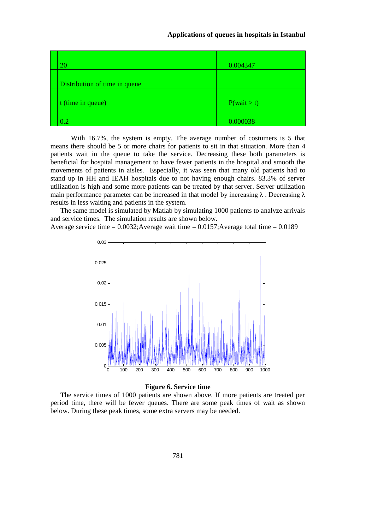| 20                            | 0.004347    |
|-------------------------------|-------------|
| Distribution of time in queue |             |
| t (time in queue)             | P(wait > t) |
| $0.2\,$                       | 0.000038    |

 With 16.7%, the system is empty. The average number of costumers is 5 that means there should be 5 or more chairs for patients to sit in that situation. More than 4 patients wait in the queue to take the service. Decreasing these both parameters is beneficial for hospital management to have fewer patients in the hospital and smooth the movements of patients in aisles. Especially, it was seen that many old patients had to stand up in HH and IEAH hospitals due to not having enough chairs. 83.3% of server utilization is high and some more patients can be treated by that server. Server utilization main performance parameter can be increased in that model by increasing  $\lambda$ . Decreasing  $\lambda$ results in less waiting and patients in the system.

The same model is simulated by Matlab by simulating 1000 patients to analyze arrivals and service times. The simulation results are shown below.

Average service time = 0.0032;Average wait time = 0.0157;Average total time = 0.0189



### **Figure 6. Service time**

The service times of 1000 patients are shown above. If more patients are treated per period time, there will be fewer queues. There are some peak times of wait as shown below. During these peak times, some extra servers may be needed.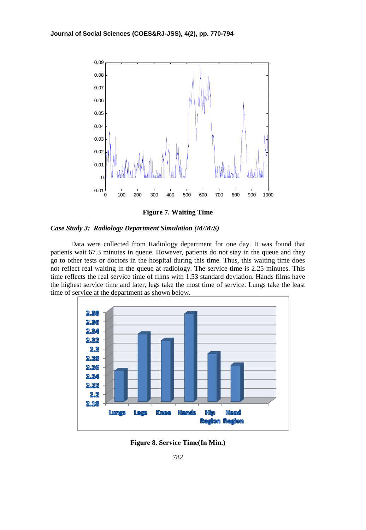

**Figure 7. Waiting Time**



 Data were collected from Radiology department for one day. It was found that patients wait 67.3 minutes in queue. However, patients do not stay in the queue and they go to other tests or doctors in the hospital during this time. Thus, this waiting time does not reflect real waiting in the queue at radiology. The service time is 2.25 minutes. This time reflects the real service time of films with 1.53 standard deviation. Hands films have the highest service time and later, legs take the most time of service. Lungs take the least time of service at the department as shown below.



**Figure 8. Service Time(In Min.)**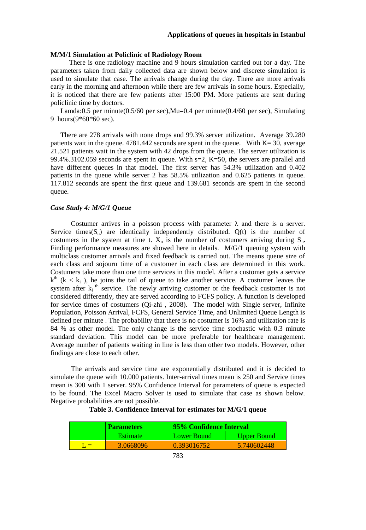### **M/M/1 Simulation at Policlinic of Radiology Room**

 There is one radiology machine and 9 hours simulation carried out for a day. The parameters taken from daily collected data are shown below and discrete simulation is used to simulate that case. The arrivals change during the day. There are more arrivals early in the morning and afternoon while there are few arrivals in some hours. Especially, it is noticed that there are few patients after 15:00 PM. More patients are sent during policlinic time by doctors.

Lamda:0.5 per minute(0.5/60 per sec), Mu=0.4 per minute(0.4/60 per sec), Simulating 9 hours(9\*60\*60 sec).

There are 278 arrivals with none drops and 99.3% server utilization. Average 39.280 patients wait in the queue.  $4781.442$  seconds are spent in the queue. With K= 30, average 21.521 patients wait in the system with 42 drops from the queue. The server utilization is 99.4%.3102.059 seconds are spent in queue. With  $s=2$ , K=50, the servers are parallel and have different queues in that model. The first server has 54.3% utilization and 0.402 patients in the queue while server 2 has 58.5% utilization and 0.625 patients in queue. 117.812 seconds are spent the first queue and 139.681 seconds are spent in the second queue.

### *Case Study 4: M/G/1 Queue*

Costumer arrives in a poisson process with parameter  $\lambda$  and there is a server. Service times( $S_n$ ) are identically independently distributed.  $O(t)$  is the number of costumers in the system at time t.  $X_n$  is the number of costumers arriving during  $S_n$ . Finding performance measures are showed here in details. M/G/1 queuing system with multiclass customer arrivals and fixed feedback is carried out. The means queue size of each class and sojourn time of a customer in each class are determined in this work. Costumers take more than one time services in this model. After a customer gets a service  $k^{th}$  ( $k < k_i$ ), he joins the tail of queue to take another service. A costumer leaves the system after  $k_i$ <sup>th</sup> service. The newly arriving customer or the feedback customer is not considered differently, they are served according to FCFS policy. A function is developed for service times of costumers (Qi-zhi , 2008). The model with Single server, Infinite Population, Poisson Arrival, FCFS, General Service Time, and Unlimited Queue Length is defined per minute . The probability that there is no costumer is 16% and utilization rate is 84 % as other model. The only change is the service time stochastic with 0.3 minute standard deviation. This model can be more preferable for healthcare management. Average number of patients waiting in line is less than other two models. However, other findings are close to each other.

 The arrivals and service time are exponentially distributed and it is decided to simulate the queue with 10.000 patients. Inter-arrival times mean is 250 and Service times mean is 300 with 1 server. 95% Confidence Interval for parameters of queue is expected to be found. The Excel Macro Solver is used to simulate that case as shown below. Negative probabilities are not possible.

## **Table 3. Confidence Interval for estimates for M/G/1 queue**

| <b>Parameters</b> | 95% Confidence Interval |                    |
|-------------------|-------------------------|--------------------|
| <b>Estimate</b>   | Lower Bound             | <b>Upper Bound</b> |
| 3.0668096         | 0.393016752             | 5.740602448        |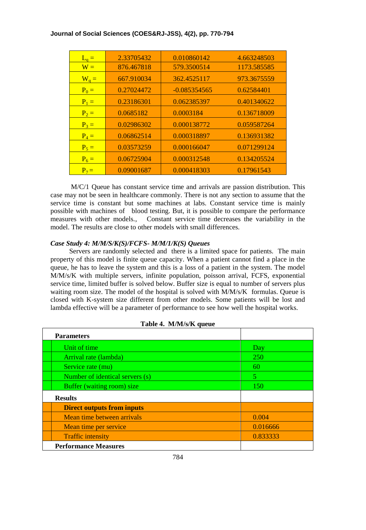| $L_q =$ | 2.33705432 | 0.010860142    | 4.663248503 |
|---------|------------|----------------|-------------|
| $W =$   | 876.467818 | 579.3500514    | 1173.585585 |
| $W_q =$ | 667.910034 | 362.4525117    | 973.3675559 |
| $P_0 =$ | 0.27024472 | $-0.085354565$ | 0.62584401  |
| $P_1 =$ | 0.23186301 | 0.062385397    | 0.401340622 |
| $P_2 =$ | 0.0685182  | 0.0003184      | 0.136718009 |
| $P_3 =$ | 0.02986302 | 0.000138772    | 0.059587264 |
| $P_4 =$ | 0.06862514 | 0.000318897    | 0.136931382 |
| $P_5 =$ | 0.03573259 | 0.000166047    | 0.071299124 |
| $P_6 =$ | 0.06725904 | 0.000312548    | 0.134205524 |
| $P_7 =$ | 0.09001687 | 0.000418303    | 0.17961543  |

 M/C/1 Queue has constant service time and arrivals are passion distribution. This case may not be seen in healthcare commonly. There is not any section to assume that the service time is constant but some machines at labs. Constant service time is mainly possible with machines of blood testing. But, it is possible to compare the performance measures with other models., Constant service time decreases the variability in the model. The results are close to other models with small differences.

## *Case Study 4: M/M/S/K(S)/FCFS- M/M/1/K(S) Queues*

 Servers are randomly selected and there is a limited space for patients. The main property of this model is finite queue capacity. When a patient cannot find a place in the queue, he has to leave the system and this is a loss of a patient in the system. The model M/M/s/K with multiple servers, infinite population, poisson arrival, FCFS, exponential service time, limited buffer is solved below. Buffer size is equal to number of servers plus waiting room size. The model of the hospital is solved with M/M/s/K formulas. Queue is closed with K-system size different from other models. Some patients will be lost and lambda effective will be a parameter of performance to see how well the hospital works.

| $10010 + 11111011$                |            |  |  |  |
|-----------------------------------|------------|--|--|--|
| <b>Parameters</b>                 |            |  |  |  |
| Unit of time                      | Day        |  |  |  |
| Arrival rate (lambda)             | <b>250</b> |  |  |  |
| Service rate (mu)                 | 60         |  |  |  |
| Number of identical servers (s)   | 5          |  |  |  |
| Buffer (waiting room) size        | 150        |  |  |  |
| <b>Results</b>                    |            |  |  |  |
| <b>Direct outputs from inputs</b> |            |  |  |  |
| Mean time between arrivals        | 0.004      |  |  |  |
| Mean time per service             | 0.016666   |  |  |  |
| <b>Traffic intensity</b>          | 0.833333   |  |  |  |
| <b>Performance Measures</b>       |            |  |  |  |

**Table 4. M/M/s/K queue**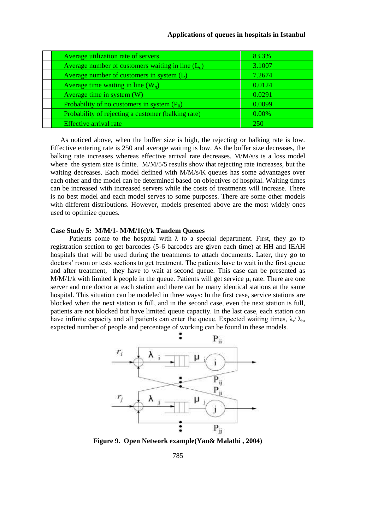| Average utilization rate of servers                   | 83.3%    |
|-------------------------------------------------------|----------|
| Average number of customers waiting in line $(L_{q})$ | 3.1007   |
| Average number of customers in system (L)             | 7.2674   |
| Average time waiting in line $(W_q)$                  | 0.0124   |
| Average time in system (W)                            | 0.0291   |
| Probability of no customers in system $(P_0)$         | 0.0099   |
| Probability of rejecting a customer (balking rate)    | $0.00\%$ |
| Effective arrival rate                                | 250      |

As noticed above, when the buffer size is high, the rejecting or balking rate is low. Effective entering rate is 250 and average waiting is low. As the buffer size decreases, the balking rate increases whereas effective arrival rate decreases. M/M/s/s is a loss model where the system size is finite. M/M/5/5 results show that rejecting rate increases, but the waiting decreases. Each model defined with M/M/s/K queues has some advantages over each other and the model can be determined based on objectives of hospital. Waiting times can be increased with increased servers while the costs of treatments will increase. There is no best model and each model serves to some purposes. There are some other models with different distributions. However, models presented above are the most widely ones used to optimize queues.

## **Case Study 5: M/M/1- M/M/1(c)/k Tandem Queues**

Patients come to the hospital with  $\lambda$  to a special department. First, they go to registration section to get barcodes (5-6 barcodes are given each time) at HH and IEAH hospitals that will be used during the treatments to attach documents. Later, they go to doctors' room or tests sections to get treatment. The patients have to wait in the first queue and after treatment, they have to wait at second queue. This case can be presented as M/M/1/k with limited k people in the queue. Patients will get service  $\mu_i$  rate. There are one server and one doctor at each station and there can be many identical stations at the same hospital. This situation can be modeled in three ways: In the first case, service stations are blocked when the next station is full, and in the second case, even the next station is full, patients are not blocked but have limited queue capacity. In the last case, each station can have infinite capacity and all patients can enter the queue. Expected waiting times,  $\lambda_e$   $\lambda_b$ , expected number of people and percentage of working can be found in these models.



**Figure 9. Open Network example(Yan& Malathi , 2004)**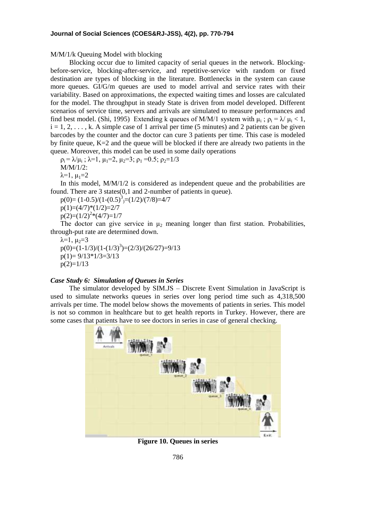M/M/1/k Queuing Model with blocking

 Blocking occur due to limited capacity of serial queues in the network. Blockingbefore-service, blocking-after-service, and repetitive-service with random or fixed destination are types of blocking in the literature. Bottlenecks in the system can cause more queues. GI/G/m queues are used to model arrival and service rates with their variability. Based on approximations, the expected waiting times and losses are calculated for the model. The throughput in steady State is driven from model developed. Different scenarios of service time, servers and arrivals are simulated to measure performances and find best model. (Shi, 1995) Extending k queues of M/M/1 system with  $\mu_i$ ;  $\rho_i = \lambda / \mu_i < 1$ ,  $i = 1, 2, \ldots, k$ . A simple case of 1 arrival per time (5 minutes) and 2 patients can be given barcodes by the counter and the doctor can cure 3 patients per time. This case is modeled by finite queue, K=2 and the queue will be blocked if there are already two patients in the queue. Moreover, this model can be used in some daily operations

 $\rho_i = \lambda/\mu_i$ ;  $\lambda=1$ ,  $\mu_1=2$ ,  $\mu_2=3$ ;  $\rho_1=0.5$ ;  $\rho_2=1/3$ 

M/M/1/2:

 $\lambda=1$ ,  $\mu_1=2$ 

In this model, M/M/1/2 is considered as independent queue and the probabilities are found. There are 3 states(0,1 and 2-number of patients in queue).

 $p(0)=(1-0.5)/(1-(0.5)^3)=(1/2)/(7/8)=4/7$  $p(1)=(4/7)*(1/2)=2/7$  $p(2)=(1/2)^{2}*(4/7)=1/7$ 

The doctor can give service in  $\mu_2$  meaning longer than first station. Probabilities, through-put rate are determined down.

 $\lambda=1$ ,  $\mu_2=3$  $p(0)=(1-1/3)/(1-(1/3)^3)=(2/3)/(26/27)=9/13$  $p(1)= 9/13*1/3=3/13$  $p(2)=1/13$ 

### *Case Study 6: Simulation of Queues in Series*

 The simulator developed by SIM.JS – Discrete Event Simulation in JavaScript is used to simulate networks queues in series over long period time such as 4,318,500 arrivals per time. The model below shows the movements of patients in series. This model is not so common in healthcare but to get health reports in Turkey. However, there are some cases that patients have to see doctors in series in case of general checking.



**Figure 10. Queues in series**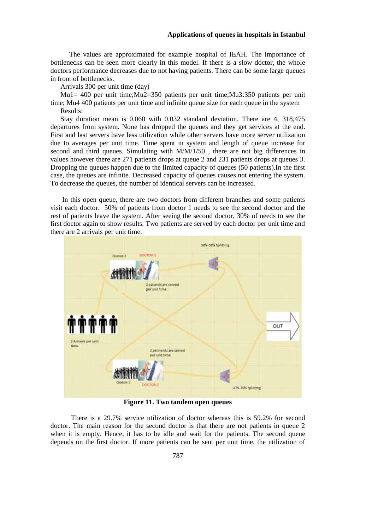The values are approximated for example hospital of IEAH. The importance of bottlenecks can be seen more clearly in this model. If there is a slow doctor, the whole doctors performance decreases due to not having patients. There can be some large queues in front of bottlenecks.

Arrivals 300 per unit time (day)

Mu1= 400 per unit time;Mu2=350 patients per unit time;Mu3:350 patients per unit time; Mu4 400 patients per unit time and infinite queue size for each queue in the system Results:

Stay duration mean is 0.060 with 0.032 standard deviation. There are 4, 318,475 departures from system. None has dropped the queues and they get services at the end. First and last servers have less utilization while other servers have more server utilization due to averages per unit time. Time spent in system and length of queue increase for second and third queues. Simulating with M/M/1/50 , there are not big differences in values however there are 271 patients drops at queue 2 and 231 patients drops at queues 3. Dropping the queues happen due to the limited capacity of queues (50 patients).In the first case, the queues are infinite. Decreased capacity of queues causes not entering the system. To decrease the queues, the number of identical servers can be increased.

In this open queue, there are two doctors from different branches and some patients visit each doctor. 50% of patients from doctor 1 needs to see the second doctor and the rest of patients leave the system. After seeing the second doctor, 30% of needs to see the first doctor again to show results. Two patients are served by each doctor per unit time and there are 2 arrivals per unit time.



**Figure 11. Two tandem open queues**

 There is a 29.7% service utilization of doctor whereas this is 59.2% for second doctor. The main reason for the second doctor is that there are not patients in queue 2 when it is empty. Hence, it has to be idle and wait for the patients. The second queue depends on the first doctor. If more patients can be sent per unit time, the utilization of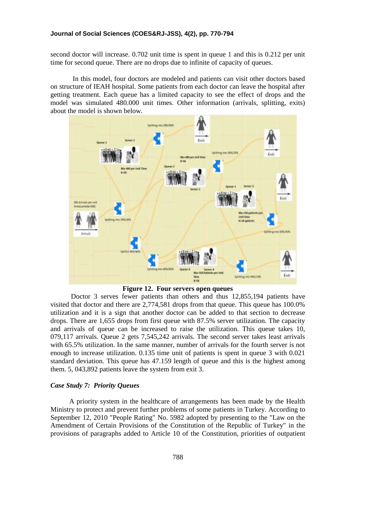second doctor will increase. 0.702 unit time is spent in queue 1 and this is 0.212 per unit time for second queue. There are no drops due to infinite of capacity of queues.

In this model, four doctors are modeled and patients can visit other doctors based on structure of IEAH hospital. Some patients from each doctor can leave the hospital after getting treatment. Each queue has a limited capacity to see the effect of drops and the model was simulated 480.000 unit times. Other information (arrivals, splitting, exits) about the model is shown below.



**Figure 12. Four servers open queues**

 Doctor 3 serves fewer patients than others and thus 12,855,194 patients have visited that doctor and there are 2,774,581 drops from that queue. This queue has 100.0% utilization and it is a sign that another doctor can be added to that section to decrease drops. There are 1,655 drops from first queue with 87.5% server utilization. The capacity and arrivals of queue can be increased to raise the utilization. This queue takes 10, 079,117 arrivals. Queue 2 gets 7,545,242 arrivals. The second server takes least arrivals with 65.5% utilization. In the same manner, number of arrivals for the fourth server is not enough to increase utilization. 0.135 time unit of patients is spent in queue 3 with 0.021 standard deviation. This queue has 47.159 length of queue and this is the highest among them. 5, 043,892 patients leave the system from exit 3.

### *Case Study 7: Priority Queues*

 A priority system in the healthcare of arrangements has been made by the Health Ministry to protect and prevent further problems of some patients in Turkey. According to September 12, 2010 "People Rating" No. 5982 adopted by presenting to the "Law on the Amendment of Certain Provisions of the Constitution of the Republic of Turkey" in the provisions of paragraphs added to Article 10 of the Constitution, priorities of outpatient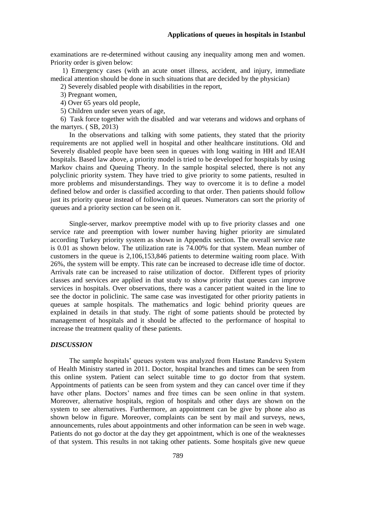examinations are re-determined without causing any inequality among men and women. Priority order is given below:

1) Emergency cases (with an acute onset illness, accident, and injury, immediate medical attention should be done in such situations that are decided by the physician)

2) Severely disabled people with disabilities in the report,

3) Pregnant women,

- 4) Over 65 years old people,
- 5) Children under seven years of age,

6) Task force together with the disabled and war veterans and widows and orphans of the martyrs. ( SB, 2013)

 In the observations and talking with some patients, they stated that the priority requirements are not applied well in hospital and other healthcare institutions. Old and Severely disabled people have been seen in queues with long waiting in HH and IEAH hospitals. Based law above, a priority model is tried to be developed for hospitals by using Markov chains and Queuing Theory. In the sample hospital selected, there is not any polyclinic priority system. They have tried to give priority to some patients, resulted in more problems and misunderstandings. They way to overcome it is to define a model defined below and order is classified according to that order. Then patients should follow just its priority queue instead of following all queues. Numerators can sort the priority of queues and a priority section can be seen on it.

 Single-server, markov preemptive model with up to five priority classes and one service rate and preemption with lower number having higher priority are simulated according Turkey priority system as shown in Appendix section. The overall service rate is 0.01 as shown below. The utilization rate is 74.00% for that system. Mean number of customers in the queue is 2,106,153,846 patients to determine waiting room place. With 26%, the system will be empty. This rate can be increased to decrease idle time of doctor. Arrivals rate can be increased to raise utilization of doctor. Different types of priority classes and services are applied in that study to show priority that queues can improve services in hospitals. Over observations, there was a cancer patient waited in the line to see the doctor in policlinic. The same case was investigated for other priority patients in queues at sample hospitals. The mathematics and logic behind priority queues are explained in details in that study. The right of some patients should be protected by management of hospitals and it should be affected to the performance of hospital to increase the treatment quality of these patients.

### *DISCUSSION*

 The sample hospitals' queues system was analyzed from Hastane Randevu System of Health Ministry started in 2011. Doctor, hospital branches and times can be seen from this online system. Patient can select suitable time to go doctor from that system. Appointments of patients can be seen from system and they can cancel over time if they have other plans. Doctors' names and free times can be seen online in that system. Moreover, alternative hospitals, region of hospitals and other days are shown on the system to see alternatives. Furthermore, an appointment can be give by phone also as shown below in figure. Moreover, complaints can be sent by mail and surveys, news, announcements, rules about appointments and other information can be seen in web wage. Patients do not go doctor at the day they get appointment, which is one of the weaknesses of that system. This results in not taking other patients. Some hospitals give new queue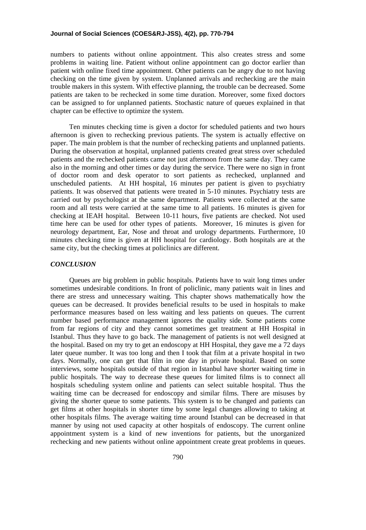numbers to patients without online appointment. This also creates stress and some problems in waiting line. Patient without online appointment can go doctor earlier than patient with online fixed time appointment. Other patients can be angry due to not having checking on the time given by system. Unplanned arrivals and rechecking are the main trouble makers in this system. With effective planning, the trouble can be decreased. Some patients are taken to be rechecked in some time duration. Moreover, some fixed doctors can be assigned to for unplanned patients. Stochastic nature of queues explained in that chapter can be effective to optimize the system.

 Ten minutes checking time is given a doctor for scheduled patients and two hours afternoon is given to rechecking previous patients. The system is actually effective on paper. The main problem is that the number of rechecking patients and unplanned patients. During the observation at hospital, unplanned patients created great stress over scheduled patients and the rechecked patients came not just afternoon from the same day. They came also in the morning and other times or day during the service. There were no sign in front of doctor room and desk operator to sort patients as rechecked, unplanned and unscheduled patients. At HH hospital, 16 minutes per patient is given to psychiatry patients. It was observed that patients were treated in 5-10 minutes. Psychiatry tests are carried out by psychologist at the same department. Patients were collected at the same room and all tests were carried at the same time to all patients. 16 minutes is given for checking at IEAH hospital. Between 10-11 hours, five patients are checked. Not used time here can be used for other types of patients. Moreover, 16 minutes is given for neurology department, Ear, Nose and throat and urology departments. Furthermore, 10 minutes checking time is given at HH hospital for cardiology. Both hospitals are at the same city, but the checking times at policlinics are different.

## *CONCLUSION*

 Queues are big problem in public hospitals. Patients have to wait long times under sometimes undesirable conditions. In front of policlinic, many patients wait in lines and there are stress and unnecessary waiting. This chapter shows mathematically how the queues can be decreased. It provides beneficial results to be used in hospitals to make performance measures based on less waiting and less patients on queues. The current number based performance management ignores the quality side. Some patients come from far regions of city and they cannot sometimes get treatment at HH Hospital in Istanbul. Thus they have to go back. The management of patients is not well designed at the hospital. Based on my try to get an endoscopy at HH Hospital, they gave me a 72 days later queue number. It was too long and then I took that film at a private hospital in two days. Normally, one can get that film in one day in private hospital. Based on some interviews, some hospitals outside of that region in Istanbul have shorter waiting time in public hospitals. The way to decrease these queues for limited films is to connect all hospitals scheduling system online and patients can select suitable hospital. Thus the waiting time can be decreased for endoscopy and similar films. There are misuses by giving the shorter queue to some patients. This system is to be changed and patients can get films at other hospitals in shorter time by some legal changes allowing to taking at other hospitals films. The average waiting time around Istanbul can be decreased in that manner by using not used capacity at other hospitals of endoscopy. The current online appointment system is a kind of new inventions for patients, but the unorganized rechecking and new patients without online appointment create great problems in queues.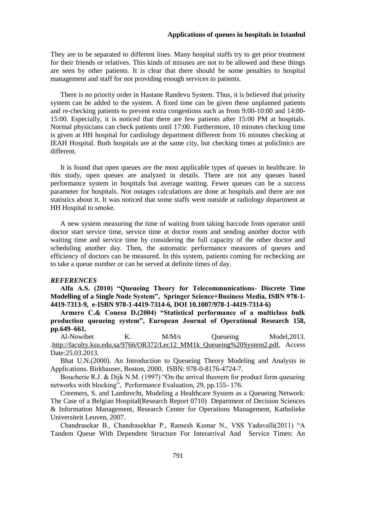They are to be separated to different lines. Many hospital staffs try to get prior treatment for their friends or relatives. This kinds of misuses are not to be allowed and these things are seen by other patients. It is clear that there should be some penalties to hospital management and staff for not providing enough services to patients.

There is no priority order in Hastane Randevu System. Thus, it is believed that priority system can be added to the system. A fixed time can be given these unplanned patients and re-checking patients to prevent extra congestions such as from 9:00-10:00 and 14:00- 15:00. Especially, it is noticed that there are few patients after 15:00 PM at hospitals. Normal physicians can check patients until 17:00. Furthermore, 10 minutes checking time is given at HH hospital for cardiology department different from 16 minutes checking at IEAH Hospital. Both hospitals are at the same city, but checking times at policlinics are different.

It is found that open queues are the most applicable types of queues in healthcare. In this study, open queues are analyzed in details. There are not any queues based performance system in hospitals but average waiting. Fewer queues can be a success parameter for hospitals. Not outages calculations are done at hospitals and there are not statistics about it. It was noticed that some staffs went outside at radiology department at HH Hospital to smoke.

A new system measuring the time of waiting from taking barcode from operator until doctor start service time, service time at doctor room and sending another doctor with waiting time and service time by considering the full capacity of the other doctor and scheduling another day. Then, the automatic performance measures of queues and efficiency of doctors can be measured. In this system, patients coming for rechecking are to take a queue number or can be served at definite times of day.

### *REFERENCES*

**Alfa A.S. (2010) "Queueing Theory for Telecommunications- Discrete Time Modelling of a Single Node System", Springer Science+Business Media, ISBN 978-1- 4419-7313-9, e-ISBN 978-1-4419-7314-6, DOI 10.1007/978-1-4419-7314-6)** 

**Armero C.& Conesa D.(2004) "Statistical performance of a multiclass bulk production queueing system", European Journal of Operational Research 158, pp.649–661.**

Al-Nowibet K. M/M/s Queueing Model, 2013. [.http://faculty.ksu.edu.sa/9766/OR372/Lec12\\_MM1k\\_Queueing%20System2.pdf,](http://faculty.ksu.edu.sa/9766/OR372/Lec12_MM1k_Queueing%20System2.pdf) Access Date:25.03.2013.

Bhat U.N.(2000). An Introduction to Queueing Theory Modeling and Analysis in Applications. Birkhauser, Boston, 2000. ISBN: 978-0-8176-4724-7.

Boucherie R.J. & Dijk N.M. (1997) "On the arrival theorem for product form queueing networks with blocking", Performance Evaluation, 29, pp.155- 176.

Creemers, S. and Lambrecht, Modeling a Healthcare System as a Queueing Network: The Case of a Belgian Hospital(Research Report 0710) Department of Decision Sciences & Information Management, Research Center for Operations Management, Katholieke Universiteit Leuven, 2007.

Chandrasekar B., Chandrasekhar P., Ramesh Kumar N., VSS Yadavalli(2011) "A Tandem Queue With Dependent Structure For Interarrival And Service Times: An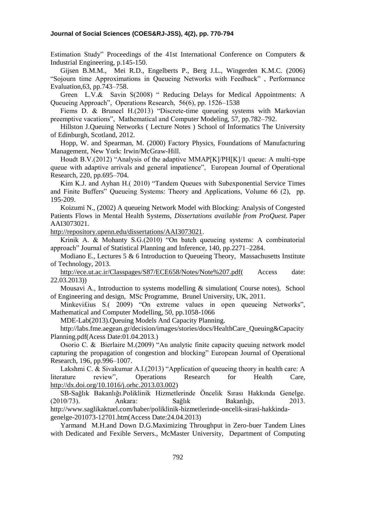Estimation Study" Proceedings of the 41st International Conference on Computers & Industrial Engineering, p.145-150.

Gijsen B.M.M., Mei R.D., Engelberts P., Berg J.L., Wingerden K.M.C. (2006) "Sojourn time Approximations in Queueing Networks with Feedback" , Performance Evaluation,63, pp.743–758.

Green L.V.& Savin S(2008) " Reducing Delays for Medical Appointments: A Queueing Approach", Operations Research, 56(6), pp. 1526–1538

Fiems D. & Bruneel H.(2013) "Discrete-time queueing systems with Markovian preemptive vacations", Mathematical and Computer Modeling, 57, pp.782–792.

Hillston J.Queuing Networks ( Lecture Notes ) School of Informatics The University of Edinburgh, Scotland, 2012.

Hopp, W. and Spearman, M. (2000) Factory Physics, Foundations of Manufacturing Management, New York: Irwin/McGraw-Hill.

Houdt B.V.(2012) "Analysis of the adaptive MMAP[K]/PH[K]/1 queue: A multi-type queue with adaptive arrivals and general impatience", European Journal of Operational Research, 220, pp.695–704.

Kim K.J. and Ayhan H.( 2010) "Tandem Queues with Subexponential Service Times and Finite Buffers" Queueing Systems: Theory and Applications, Volume 66 (2), pp. 195-209.

Koizumi N., (2002) A queueing Network Model with Blocking: Analysis of Congested Patients Flows in Mental Health Systems, *Dissertations available from ProQuest.* Paper AAI3073021.

[http://repository.upenn.edu/dissertations/AAI3073021.](http://repository.upenn.edu/dissertations/AAI3073021)

Krinik A. & Mohanty S.G.(2010) "On batch queueing systems: A combinatorial approach" Journal of Statistical Planning and Inference, 140, pp.2271–2284.

Modiano E., Lectures 5 & 6 Introduction to Queueing Theory, Massachusetts Institute of Technology, 2013.

http://ece.ut.ac.ir/Classpages/S87/ECE658/Notes/Note%207.pdf (Access date: 22.03.2013))

Mousavi A., Introduction to systems modelling & simulation( Course notes), School of Engineering and design, MSc Programme, Brunel University, UK, 2011.

Minkevi£ius S.( 2009) "On extreme values in open queueing Networks", Mathematical and Computer Modelling, 50, pp.1058-1066

MDE-Lab(2013).Queuing Models And Capacity Planning.

[http://labs.fme.aegean.gr/decision/images/stories/docs/HealthCare\\_Queuing&Capacity](http://labs.fme.aegean.gr/decision/images/stories/docs/HealthCare_Queuing&CapacityPlanning.pdf(Acess) [Planning.pdf\(Acess](http://labs.fme.aegean.gr/decision/images/stories/docs/HealthCare_Queuing&CapacityPlanning.pdf(Acess) Date:01.04.2013.)

Osorio C. & Bierlaire M.(2009) "An analytic finite capacity queuing network model capturing the propagation of congestion and blocking" European Journal of Operational Research, 196, pp.996–1007.

Lakshmi C. & Sivakumar A.I.(2013) "Application of queueing theory in health care: A literature review", Operations Research for Health Care, [http://dx.doi.org/10.1016/j.orhc.2013.03.002\)](http://dx.doi.org/10.1016/j.orhc.2013.03.002)

SB-Sağlık Bakanlığı.Poliklinik Hizmetlerinde Öncelik Sırası Hakkında Genelge. (2010/73). Ankara: Sağlık Bakanlığı, 2013. [http://www.saglikaktuel.com/haber/poliklinik-hizmetlerinde-oncelik-sirasi-hakkinda](http://www.saglikaktuel.com/haber/poliklinik-hizmetlerinde-oncelik-sirasi-hakkinda-genelge-201073-12701.htm(Access)[genelge-201073-12701.htm\(Access](http://www.saglikaktuel.com/haber/poliklinik-hizmetlerinde-oncelik-sirasi-hakkinda-genelge-201073-12701.htm(Access) Date:24.04.2013)

Yarmand M.H.and Down D.G.Maximizing Throughput in Zero-buer Tandem Lines with Dedicated and Fexible Servers., McMaster University, Department of Computing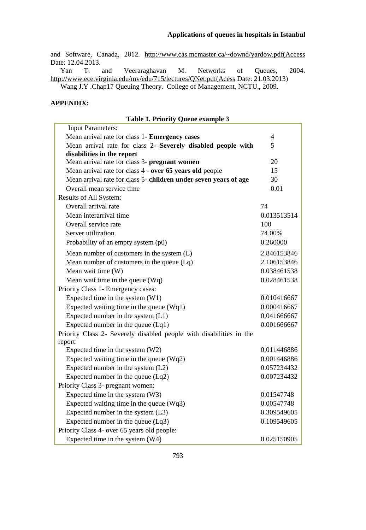and Software, Canada, 2012. [http://www.cas.mcmaster.ca/~downd/yardow.pdf\(Access](http://www.cas.mcmaster.ca/~downd/yardow.pdf(Access) Date: 12.04.2013.

Yan T. and Veeraraghavan M. Networks of Queues, 2004. [http://www.ece.virginia.edu/mv/edu/715/lectures/QNet.pdf\(Acess](http://www.ece.virginia.edu/mv/edu/715/lectures/QNet.pdf(Acess) Date: 21.03.2013) Wang J.Y .Chap17 Queuing Theory. College of Management, NCTU., 2009.

## **APPENDIX:**

### **Table 1. Priority Queue example 3**

| <b>Input Parameters:</b>                                            |                |
|---------------------------------------------------------------------|----------------|
| Mean arrival rate for class 1- Emergency cases                      | $\overline{4}$ |
| Mean arrival rate for class 2- Severely disabled people with        | 5              |
| disabilities in the report                                          |                |
| Mean arrival rate for class 3- pregnant women                       | 20             |
| Mean arrival rate for class 4 - over 65 years old people            | 15             |
| Mean arrival rate for class 5- children under seven years of age    | 30             |
| Overall mean service time                                           | 0.01           |
| Results of All System:                                              |                |
| Overall arrival rate                                                | 74             |
| Mean interarrival time                                              | 0.013513514    |
| Overall service rate                                                | 100            |
| Server utilization                                                  | 74.00%         |
| Probability of an empty system (p0)                                 | 0.260000       |
| Mean number of customers in the system (L)                          | 2.846153846    |
| Mean number of customers in the queue $(Lq)$                        | 2.106153846    |
| Mean wait time (W)                                                  | 0.038461538    |
| Mean wait time in the queue $(Wq)$                                  | 0.028461538    |
| Priority Class 1- Emergency cases:                                  |                |
| Expected time in the system (W1)                                    | 0.010416667    |
| Expected waiting time in the queue $(Wq1)$                          | 0.000416667    |
| Expected number in the system (L1)                                  | 0.041666667    |
| Expected number in the queue $(Lq1)$                                | 0.001666667    |
| Priority Class 2- Severely disabled people with disabilities in the |                |
| report:                                                             |                |
| Expected time in the system (W2)                                    | 0.011446886    |
| Expected waiting time in the queue $(Wq2)$                          | 0.001446886    |
| Expected number in the system (L2)                                  | 0.057234432    |
| Expected number in the queue $(Lq2)$                                | 0.007234432    |
| Priority Class 3- pregnant women:                                   |                |
| Expected time in the system (W3)                                    | 0.01547748     |
| Expected waiting time in the queue $(Wq3)$                          | 0.00547748     |
| Expected number in the system (L3)                                  | 0.309549605    |
| Expected number in the queue (Lq3)                                  | 0.109549605    |
| Priority Class 4- over 65 years old people:                         |                |
| Expected time in the system (W4)                                    | 0.025150905    |